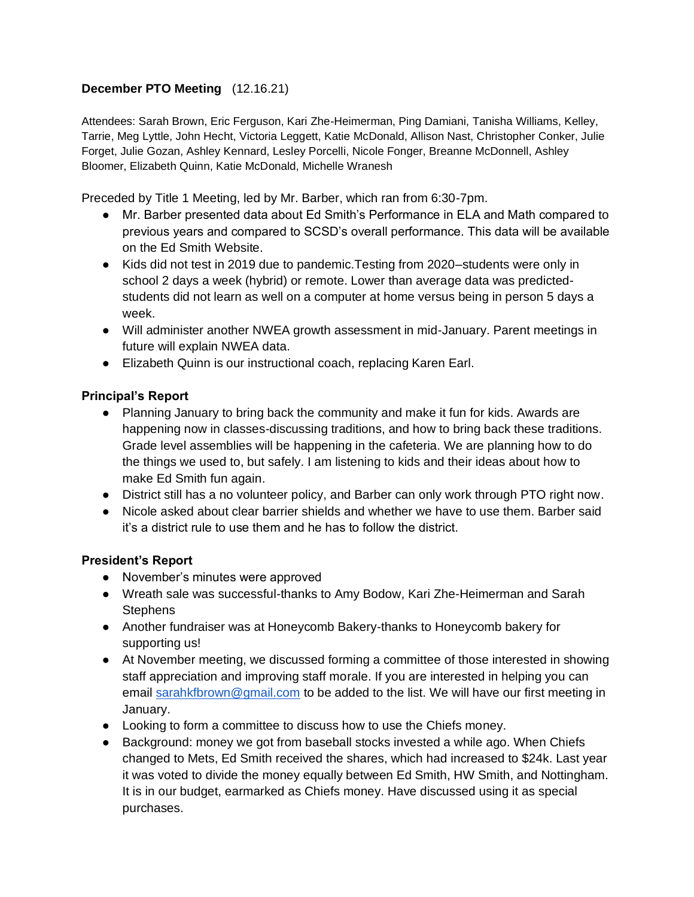# **December PTO Meeting** (12.16.21)

Attendees: Sarah Brown, Eric Ferguson, Kari Zhe-Heimerman, Ping Damiani, Tanisha Williams, Kelley, Tarrie, Meg Lyttle, John Hecht, Victoria Leggett, Katie McDonald, Allison Nast, Christopher Conker, Julie Forget, Julie Gozan, Ashley Kennard, Lesley Porcelli, Nicole Fonger, Breanne McDonnell, Ashley Bloomer, Elizabeth Quinn, Katie McDonald, Michelle Wranesh

Preceded by Title 1 Meeting, led by Mr. Barber, which ran from 6:30-7pm.

- Mr. Barber presented data about Ed Smith's Performance in ELA and Math compared to previous years and compared to SCSD's overall performance. This data will be available on the Ed Smith Website.
- Kids did not test in 2019 due to pandemic. Testing from 2020–students were only in school 2 days a week (hybrid) or remote. Lower than average data was predictedstudents did not learn as well on a computer at home versus being in person 5 days a week.
- Will administer another NWEA growth assessment in mid-January. Parent meetings in future will explain NWEA data.
- Elizabeth Quinn is our instructional coach, replacing Karen Earl.

## **Principal's Report**

- Planning January to bring back the community and make it fun for kids. Awards are happening now in classes-discussing traditions, and how to bring back these traditions. Grade level assemblies will be happening in the cafeteria. We are planning how to do the things we used to, but safely. I am listening to kids and their ideas about how to make Ed Smith fun again.
- District still has a no volunteer policy, and Barber can only work through PTO right now.
- Nicole asked about clear barrier shields and whether we have to use them. Barber said it's a district rule to use them and he has to follow the district.

#### **President's Report**

- November's minutes were approved
- Wreath sale was successful-thanks to Amy Bodow, Kari Zhe-Heimerman and Sarah **Stephens**
- Another fundraiser was at Honeycomb Bakery-thanks to Honeycomb bakery for supporting us!
- At November meeting, we discussed forming a committee of those interested in showing staff appreciation and improving staff morale. If you are interested in helping you can email [sarahkfbrown@gmail.com](mailto:sarahkfbrown@gmail.com) to be added to the list. We will have our first meeting in January.
- Looking to form a committee to discuss how to use the Chiefs money.
- Background: money we got from baseball stocks invested a while ago. When Chiefs changed to Mets, Ed Smith received the shares, which had increased to \$24k. Last year it was voted to divide the money equally between Ed Smith, HW Smith, and Nottingham. It is in our budget, earmarked as Chiefs money. Have discussed using it as special purchases.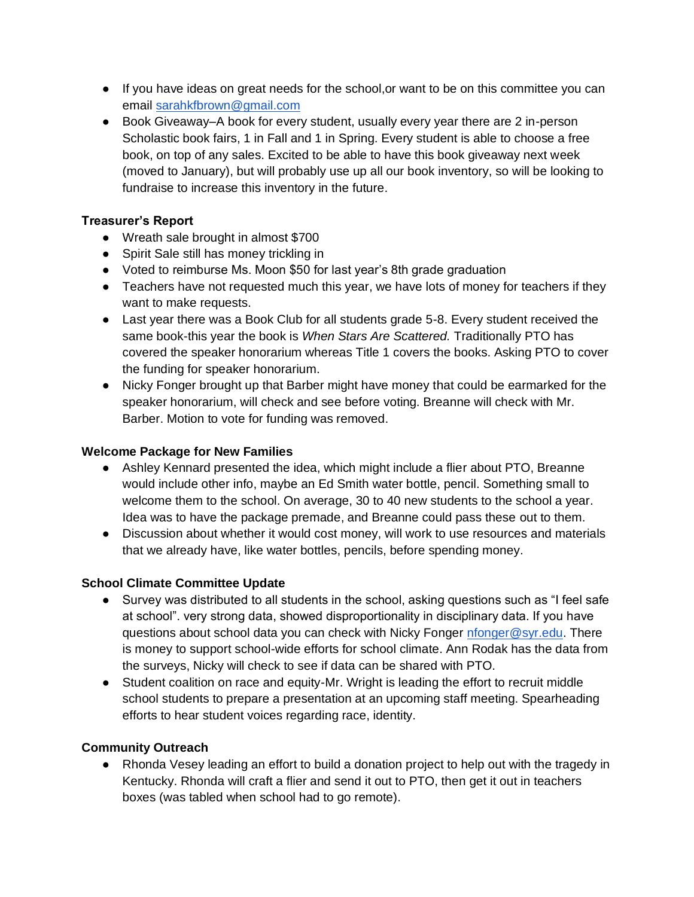- If you have ideas on great needs for the school,or want to be on this committee you can email [sarahkfbrown@gmail.com](mailto:sarahkfbrown@gmail.com)
- Book Giveaway–A book for every student, usually every year there are 2 in-person Scholastic book fairs, 1 in Fall and 1 in Spring. Every student is able to choose a free book, on top of any sales. Excited to be able to have this book giveaway next week (moved to January), but will probably use up all our book inventory, so will be looking to fundraise to increase this inventory in the future.

# **Treasurer's Report**

- Wreath sale brought in almost \$700
- Spirit Sale still has money trickling in
- Voted to reimburse Ms. Moon \$50 for last year's 8th grade graduation
- Teachers have not requested much this year, we have lots of money for teachers if they want to make requests.
- Last year there was a Book Club for all students grade 5-8. Every student received the same book-this year the book is *When Stars Are Scattered.* Traditionally PTO has covered the speaker honorarium whereas Title 1 covers the books. Asking PTO to cover the funding for speaker honorarium.
- Nicky Fonger brought up that Barber might have money that could be earmarked for the speaker honorarium, will check and see before voting. Breanne will check with Mr. Barber. Motion to vote for funding was removed.

## **Welcome Package for New Families**

- Ashley Kennard presented the idea, which might include a flier about PTO, Breanne would include other info, maybe an Ed Smith water bottle, pencil. Something small to welcome them to the school. On average, 30 to 40 new students to the school a year. Idea was to have the package premade, and Breanne could pass these out to them.
- Discussion about whether it would cost money, will work to use resources and materials that we already have, like water bottles, pencils, before spending money.

## **School Climate Committee Update**

- Survey was distributed to all students in the school, asking questions such as "I feel safe at school". very strong data, showed disproportionality in disciplinary data. If you have questions about school data you can check with Nicky Fonger [nfonger@syr.edu.](mailto:nfonger@syr.edu) There is money to support school-wide efforts for school climate. Ann Rodak has the data from the surveys, Nicky will check to see if data can be shared with PTO.
- Student coalition on race and equity-Mr. Wright is leading the effort to recruit middle school students to prepare a presentation at an upcoming staff meeting. Spearheading efforts to hear student voices regarding race, identity.

## **Community Outreach**

• Rhonda Vesey leading an effort to build a donation project to help out with the tragedy in Kentucky. Rhonda will craft a flier and send it out to PTO, then get it out in teachers boxes (was tabled when school had to go remote).